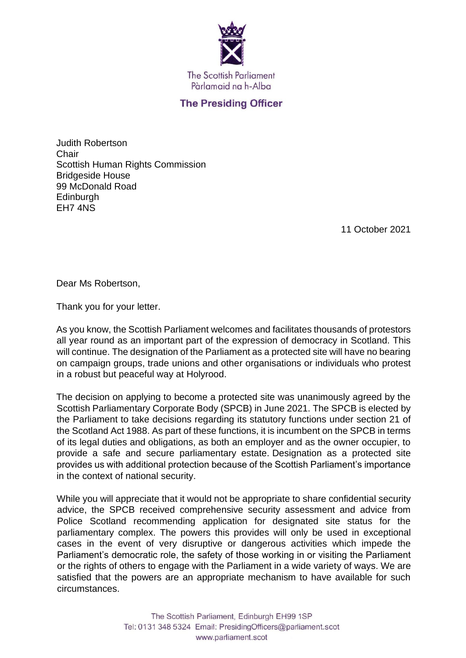

## **The Presiding Officer**

Judith Robertson **Chair** Scottish Human Rights Commission Bridgeside House 99 McDonald Road **Edinburgh** EH7 4NS

11 October 2021

Dear Ms Robertson,

Thank you for your letter.

As you know, the Scottish Parliament welcomes and facilitates thousands of protestors all year round as an important part of the expression of democracy in Scotland. This will continue. The designation of the Parliament as a protected site will have no bearing on campaign groups, trade unions and other organisations or individuals who protest in a robust but peaceful way at Holyrood.

The decision on applying to become a protected site was unanimously agreed by the Scottish Parliamentary Corporate Body (SPCB) in June 2021. The SPCB is elected by the Parliament to take decisions regarding its statutory functions under section 21 of the Scotland Act 1988. As part of these functions, it is incumbent on the SPCB in terms of its legal duties and obligations, as both an employer and as the owner occupier, to provide a safe and secure parliamentary estate. Designation as a protected site provides us with additional protection because of the Scottish Parliament's importance in the context of national security.

While you will appreciate that it would not be appropriate to share confidential security advice, the SPCB received comprehensive security assessment and advice from Police Scotland recommending application for designated site status for the parliamentary complex. The powers this provides will only be used in exceptional cases in the event of very disruptive or dangerous activities which impede the Parliament's democratic role, the safety of those working in or visiting the Parliament or the rights of others to engage with the Parliament in a wide variety of ways. We are satisfied that the powers are an appropriate mechanism to have available for such circumstances.